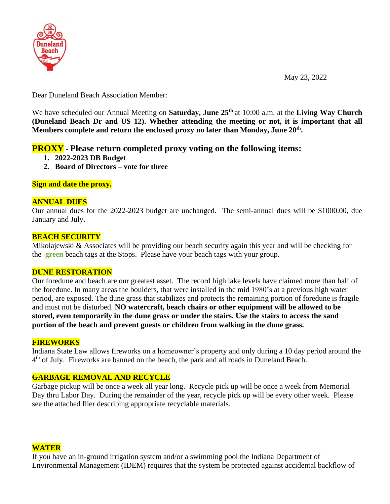

May 23, 2022

Dear Duneland Beach Association Member:

We have scheduled our Annual Meeting on **Saturday, June 25th** at 10:00 a.m. at the **Living Way Church (Duneland Beach Dr and US 12). Whether attending the meeting or not, it is important that all Members complete and return the enclosed proxy no later than Monday, June 20th .**

# **PROXY - Please return completed proxy voting on the following items:**

- **1. 2022-2023 DB Budget**
- **2. Board of Directors – vote for three**

**Sign and date the proxy.**

#### **ANNUAL DUES**

Our annual dues for the 2022-2023 budget are unchanged. The semi-annual dues will be \$1000.00, due January and July.

## **BEACH SECURITY**

Mikolajewski & Associates will be providing our beach security again this year and will be checking for the **green** beach tags at the Stops. Please have your beach tags with your group.

#### **DUNE RESTORATION**

Our foredune and beach are our greatest asset. The record high lake levels have claimed more than half of the foredune. In many areas the boulders, that were installed in the mid 1980's at a previous high water period, are exposed. The dune grass that stabilizes and protects the remaining portion of foredune is fragile and must not be disturbed. **NO watercraft, beach chairs or other equipment will be allowed to be stored, even temporarily in the dune grass or under the stairs. Use the stairs to access the sand portion of the beach and prevent guests or children from walking in the dune grass.**

#### **FIREWORKS**

Indiana State Law allows fireworks on a homeowner's property and only during a 10 day period around the 4<sup>th</sup> of July. Fireworks are banned on the beach, the park and all roads in Duneland Beach.

# **GARBAGE REMOVAL AND RECYCLE**

Garbage pickup will be once a week all year long. Recycle pick up will be once a week from Memorial Day thru Labor Day. During the remainder of the year, recycle pick up will be every other week. Please see the attached flier describing appropriate recyclable materials.

#### **WATER**

If you have an in-ground irrigation system and/or a swimming pool the Indiana Department of Environmental Management (IDEM) requires that the system be protected against accidental backflow of